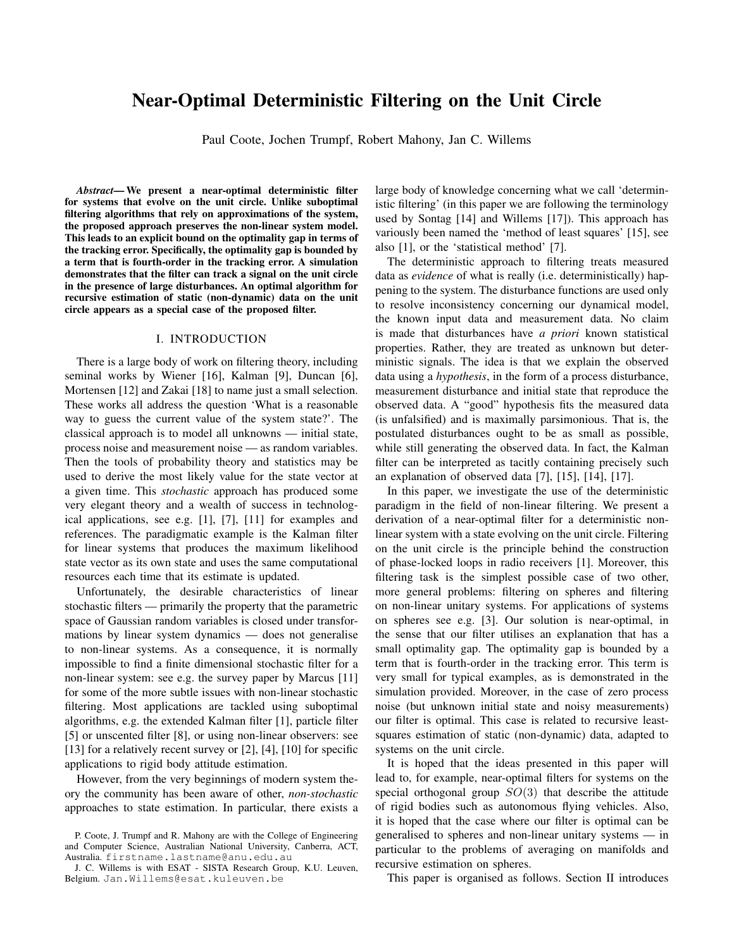# Near-Optimal Deterministic Filtering on the Unit Circle

Paul Coote, Jochen Trumpf, Robert Mahony, Jan C. Willems

*Abstract*— We present a near-optimal deterministic filter for systems that evolve on the unit circle. Unlike suboptimal filtering algorithms that rely on approximations of the system, the proposed approach preserves the non-linear system model. This leads to an explicit bound on the optimality gap in terms of the tracking error. Specifically, the optimality gap is bounded by a term that is fourth-order in the tracking error. A simulation demonstrates that the filter can track a signal on the unit circle in the presence of large disturbances. An optimal algorithm for recursive estimation of static (non-dynamic) data on the unit circle appears as a special case of the proposed filter.

#### I. INTRODUCTION

There is a large body of work on filtering theory, including seminal works by Wiener [16], Kalman [9], Duncan [6], Mortensen [12] and Zakai [18] to name just a small selection. These works all address the question 'What is a reasonable way to guess the current value of the system state?'. The classical approach is to model all unknowns — initial state, process noise and measurement noise — as random variables. Then the tools of probability theory and statistics may be used to derive the most likely value for the state vector at a given time. This *stochastic* approach has produced some very elegant theory and a wealth of success in technological applications, see e.g. [1], [7], [11] for examples and references. The paradigmatic example is the Kalman filter for linear systems that produces the maximum likelihood state vector as its own state and uses the same computational resources each time that its estimate is updated.

Unfortunately, the desirable characteristics of linear stochastic filters — primarily the property that the parametric space of Gaussian random variables is closed under transformations by linear system dynamics — does not generalise to non-linear systems. As a consequence, it is normally impossible to find a finite dimensional stochastic filter for a non-linear system: see e.g. the survey paper by Marcus [11] for some of the more subtle issues with non-linear stochastic filtering. Most applications are tackled using suboptimal algorithms, e.g. the extended Kalman filter [1], particle filter [5] or unscented filter [8], or using non-linear observers: see [13] for a relatively recent survey or [2], [4], [10] for specific applications to rigid body attitude estimation.

However, from the very beginnings of modern system theory the community has been aware of other, *non-stochastic* approaches to state estimation. In particular, there exists a

large body of knowledge concerning what we call 'deterministic filtering' (in this paper we are following the terminology used by Sontag [14] and Willems [17]). This approach has variously been named the 'method of least squares' [15], see also [1], or the 'statistical method' [7].

The deterministic approach to filtering treats measured data as *evidence* of what is really (i.e. deterministically) happening to the system. The disturbance functions are used only to resolve inconsistency concerning our dynamical model, the known input data and measurement data. No claim is made that disturbances have *a priori* known statistical properties. Rather, they are treated as unknown but deterministic signals. The idea is that we explain the observed data using a *hypothesis*, in the form of a process disturbance, measurement disturbance and initial state that reproduce the observed data. A "good" hypothesis fits the measured data (is unfalsified) and is maximally parsimonious. That is, the postulated disturbances ought to be as small as possible, while still generating the observed data. In fact, the Kalman filter can be interpreted as tacitly containing precisely such an explanation of observed data [7], [15], [14], [17].

In this paper, we investigate the use of the deterministic paradigm in the field of non-linear filtering. We present a derivation of a near-optimal filter for a deterministic nonlinear system with a state evolving on the unit circle. Filtering on the unit circle is the principle behind the construction of phase-locked loops in radio receivers [1]. Moreover, this filtering task is the simplest possible case of two other, more general problems: filtering on spheres and filtering on non-linear unitary systems. For applications of systems on spheres see e.g. [3]. Our solution is near-optimal, in the sense that our filter utilises an explanation that has a small optimality gap. The optimality gap is bounded by a term that is fourth-order in the tracking error. This term is very small for typical examples, as is demonstrated in the simulation provided. Moreover, in the case of zero process noise (but unknown initial state and noisy measurements) our filter is optimal. This case is related to recursive leastsquares estimation of static (non-dynamic) data, adapted to systems on the unit circle.

It is hoped that the ideas presented in this paper will lead to, for example, near-optimal filters for systems on the special orthogonal group  $SO(3)$  that describe the attitude of rigid bodies such as autonomous flying vehicles. Also, it is hoped that the case where our filter is optimal can be generalised to spheres and non-linear unitary systems — in particular to the problems of averaging on manifolds and recursive estimation on spheres.

This paper is organised as follows. Section II introduces

P. Coote, J. Trumpf and R. Mahony are with the College of Engineering and Computer Science, Australian National University, Canberra, ACT, Australia. firstname.lastname@anu.edu.au

J. C. Willems is with ESAT - SISTA Research Group, K.U. Leuven, Belgium. Jan.Willems@esat.kuleuven.be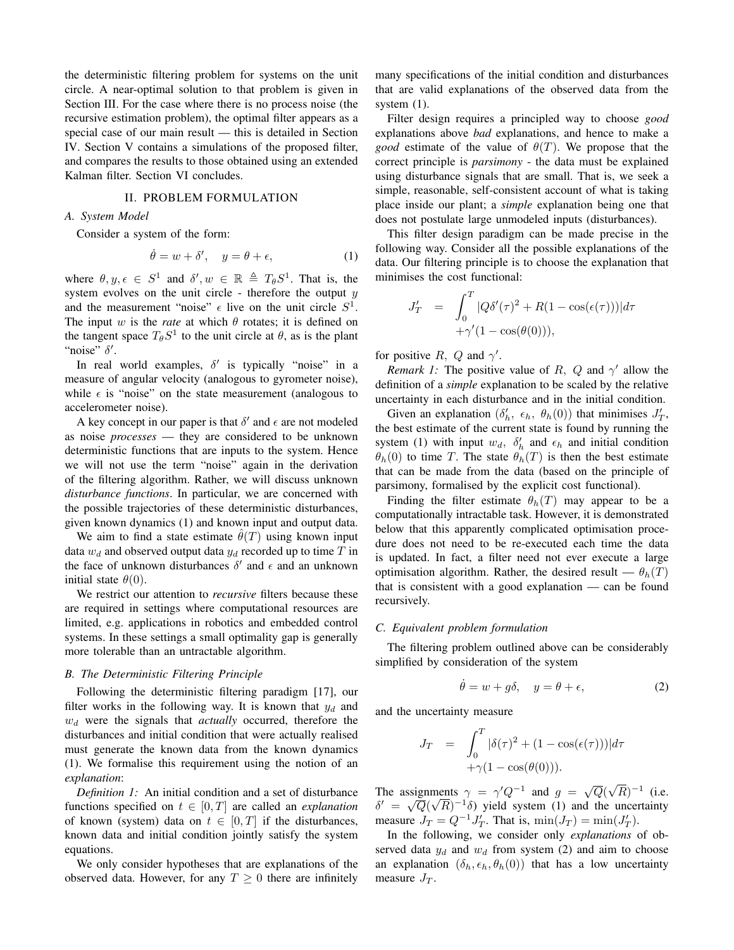the deterministic filtering problem for systems on the unit circle. A near-optimal solution to that problem is given in Section III. For the case where there is no process noise (the recursive estimation problem), the optimal filter appears as a special case of our main result — this is detailed in Section IV. Section V contains a simulations of the proposed filter, and compares the results to those obtained using an extended Kalman filter. Section VI concludes.

## II. PROBLEM FORMULATION

# *A. System Model*

Consider a system of the form:

$$
\dot{\theta} = w + \delta', \quad y = \theta + \epsilon,
$$
 (1)

where  $\theta, y, \epsilon \in S^1$  and  $\delta', w \in \mathbb{R} \triangleq T_{\theta}S^1$ . That is, the system evolves on the unit circle - therefore the output  $y$ and the measurement "noise"  $\epsilon$  live on the unit circle  $S^1$ . The input w is the *rate* at which  $\theta$  rotates; it is defined on the tangent space  $T_{\theta}S^1$  to the unit circle at  $\theta$ , as is the plant "noise"  $\delta'$ .

In real world examples,  $\delta'$  is typically "noise" in a measure of angular velocity (analogous to gyrometer noise), while  $\epsilon$  is "noise" on the state measurement (analogous to accelerometer noise).

A key concept in our paper is that  $\delta'$  and  $\epsilon$  are not modeled as noise *processes* — they are considered to be unknown deterministic functions that are inputs to the system. Hence we will not use the term "noise" again in the derivation of the filtering algorithm. Rather, we will discuss unknown *disturbance functions*. In particular, we are concerned with the possible trajectories of these deterministic disturbances, given known dynamics (1) and known input and output data.

We aim to find a state estimate  $\hat{\theta}(T)$  using known input data  $w_d$  and observed output data  $y_d$  recorded up to time T in the face of unknown disturbances  $\delta'$  and  $\epsilon$  and an unknown initial state  $\theta(0)$ .

We restrict our attention to *recursive* filters because these are required in settings where computational resources are limited, e.g. applications in robotics and embedded control systems. In these settings a small optimality gap is generally more tolerable than an untractable algorithm.

# *B. The Deterministic Filtering Principle*

Following the deterministic filtering paradigm [17], our filter works in the following way. It is known that  $y_d$  and w<sup>d</sup> were the signals that *actually* occurred, therefore the disturbances and initial condition that were actually realised must generate the known data from the known dynamics (1). We formalise this requirement using the notion of an *explanation*:

*Definition 1:* An initial condition and a set of disturbance functions specified on  $t \in [0, T]$  are called an *explanation* of known (system) data on  $t \in [0, T]$  if the disturbances, known data and initial condition jointly satisfy the system equations.

We only consider hypotheses that are explanations of the observed data. However, for any  $T \geq 0$  there are infinitely many specifications of the initial condition and disturbances that are valid explanations of the observed data from the system  $(1)$ .

Filter design requires a principled way to choose *good* explanations above *bad* explanations, and hence to make a *good* estimate of the value of  $\theta(T)$ . We propose that the correct principle is *parsimony* - the data must be explained using disturbance signals that are small. That is, we seek a simple, reasonable, self-consistent account of what is taking place inside our plant; a *simple* explanation being one that does not postulate large unmodeled inputs (disturbances).

This filter design paradigm can be made precise in the following way. Consider all the possible explanations of the data. Our filtering principle is to choose the explanation that minimises the cost functional:

$$
J'_T = \int_0^T |Q\delta'(\tau)^2 + R(1 - \cos(\epsilon(\tau)))|d\tau
$$
  
+ \gamma'(1 - \cos(\theta(0))),

for positive R, Q and  $\gamma'$ .

*Remark 1:* The positive value of R, Q and  $\gamma'$  allow the definition of a *simple* explanation to be scaled by the relative uncertainty in each disturbance and in the initial condition.

Given an explanation  $(\delta'_h, \epsilon_h, \theta_h(0))$  that minimises  $J'_T$ , the best estimate of the current state is found by running the system (1) with input  $w_d$ ,  $\delta'_h$  and  $\epsilon_h$  and initial condition  $\theta_h(0)$  to time T. The state  $\theta_h(T)$  is then the best estimate that can be made from the data (based on the principle of parsimony, formalised by the explicit cost functional).

Finding the filter estimate  $\theta_h(T)$  may appear to be a computationally intractable task. However, it is demonstrated below that this apparently complicated optimisation procedure does not need to be re-executed each time the data is updated. In fact, a filter need not ever execute a large optimisation algorithm. Rather, the desired result —  $\theta_h(T)$ that is consistent with a good explanation — can be found recursively.

## *C. Equivalent problem formulation*

The filtering problem outlined above can be considerably simplified by consideration of the system

$$
\dot{\theta} = w + g\delta, \quad y = \theta + \epsilon,\tag{2}
$$

and the uncertainty measure

$$
J_T = \int_0^T |\delta(\tau)^2 + (1 - \cos(\epsilon(\tau)))| d\tau
$$
  
+ \gamma (1 - \cos(\theta(0))).

The assignments  $\gamma = \gamma' Q^{-1}$  and  $g = \sqrt{Q}$ √ ssignments  $\gamma = \gamma' Q^{-1}$  and  $g = \sqrt{Q} (\sqrt{R})^{-1}$  (i.e.  $\delta' = \sqrt{Q}(\sqrt{R})^{-1}\delta$  yield system (1) and the uncertainty measure  $J_T = Q^{-1} J'_T$ . That is,  $\min(J_T) = \min(J'_T)$ .

In the following, we consider only *explanations* of observed data  $y_d$  and  $w_d$  from system (2) and aim to choose an explanation  $(\delta_h, \epsilon_h, \theta_h(0))$  that has a low uncertainty measure  $J_T$ .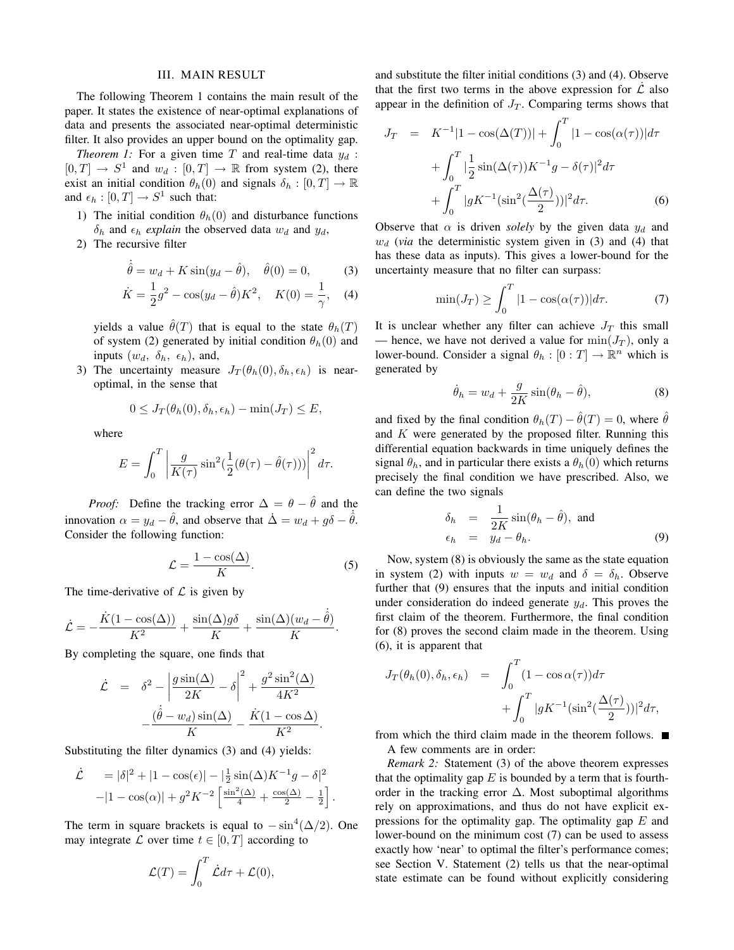#### III. MAIN RESULT

The following Theorem 1 contains the main result of the paper. It states the existence of near-optimal explanations of data and presents the associated near-optimal deterministic filter. It also provides an upper bound on the optimality gap.

*Theorem 1:* For a given time  $T$  and real-time data  $y_d$ :  $[0, T] \rightarrow S^1$  and  $w_d : [0, T] \rightarrow \mathbb{R}$  from system (2), there exist an initial condition  $\theta_h(0)$  and signals  $\delta_h : [0, T] \to \mathbb{R}$ and  $\epsilon_h : [0, T] \to S^1$  such that:

- 1) The initial condition  $\theta_h(0)$  and disturbance functions  $\delta_h$  and  $\epsilon_h$  *explain* the observed data  $w_d$  and  $y_d$ ,
- 2) The recursive filter

$$
\dot{\hat{\theta}} = w_d + K \sin(y_d - \hat{\theta}), \quad \hat{\theta}(0) = 0,
$$
\n(3)

$$
\dot{K} = \frac{1}{2}g^2 - \cos(y_d - \hat{\theta})K^2, \quad K(0) = \frac{1}{\gamma}, \quad (4)
$$

yields a value  $\hat{\theta}(T)$  that is equal to the state  $\theta_h(T)$ of system (2) generated by initial condition  $\theta_h(0)$  and inputs  $(w_d, \delta_h, \epsilon_h)$ , and,

3) The uncertainty measure  $J_T(\theta_h(0), \delta_h, \epsilon_h)$  is nearoptimal, in the sense that

$$
0 \leq J_T(\theta_h(0), \delta_h, \epsilon_h) - \min(J_T) \leq E,
$$

where

$$
E = \int_0^T \left| \frac{g}{K(\tau)} \sin^2(\frac{1}{2}(\theta(\tau) - \hat{\theta}(\tau))) \right|^2 d\tau.
$$

*Proof:* Define the tracking error  $\Delta = \theta - \hat{\theta}$  and the innovation  $\alpha = y_d - \hat{\theta}$ , and observe that  $\dot{\Delta} = w_d + g\delta - \dot{\hat{\theta}}$ . Consider the following function:

$$
\mathcal{L} = \frac{1 - \cos(\Delta)}{K}.\tag{5}
$$

The time-derivative of  $\mathcal L$  is given by

$$
\dot{\mathcal{L}} = -\frac{\dot{K}(1-\cos(\Delta))}{K^2} + \frac{\sin(\Delta)g\delta}{K} + \frac{\sin(\Delta)(w_d - \dot{\hat{\theta}})}{K}.
$$

By completing the square, one finds that

$$
\dot{\mathcal{L}} = \delta^2 - \left| \frac{g \sin(\Delta)}{2K} - \delta \right|^2 + \frac{g^2 \sin^2(\Delta)}{4K^2} - \frac{(\hat{\theta} - w_d) \sin(\Delta)}{K} - \frac{\dot{K}(1 - \cos \Delta)}{K^2}.
$$

Substituting the filter dynamics (3) and (4) yields:

$$
\dot{\mathcal{L}} = |\delta|^2 + |1 - \cos(\epsilon)| - |\frac{1}{2}\sin(\Delta)K^{-1}g - \delta|^2
$$
  
-|1 - \cos(\alpha)| + g<sup>2</sup>K^{-2}  $\left[\frac{\sin^2(\Delta)}{4} + \frac{\cos(\Delta)}{2} - \frac{1}{2}\right].$ 

The term in square brackets is equal to  $-\sin^4(\Delta/2)$ . One may integrate  $\mathcal L$  over time  $t \in [0, T]$  according to

$$
\mathcal{L}(T) = \int_0^T \dot{\mathcal{L}} d\tau + \mathcal{L}(0),
$$

and substitute the filter initial conditions (3) and (4). Observe that the first two terms in the above expression for  $\mathcal L$  also appear in the definition of  $J_T$ . Comparing terms shows that

$$
J_T = K^{-1}|1 - \cos(\Delta(T))| + \int_0^T |1 - \cos(\alpha(\tau))| d\tau
$$
  
+ 
$$
\int_0^T |\frac{1}{2} \sin(\Delta(\tau))K^{-1}g - \delta(\tau)|^2 d\tau
$$
  
+ 
$$
\int_0^T |gK^{-1}(\sin^2(\frac{\Delta(\tau)}{2}))|^2 d\tau.
$$
 (6)

Observe that  $\alpha$  is driven *solely* by the given data  $y_d$  and  $w_d$  (*via* the deterministic system given in (3) and (4) that has these data as inputs). This gives a lower-bound for the uncertainty measure that no filter can surpass:

$$
\min(J_T) \ge \int_0^T |1 - \cos(\alpha(\tau))| d\tau. \tag{7}
$$

It is unclear whether any filter can achieve  $J_T$  this small — hence, we have not derived a value for  $\min(J_T)$ , only a lower-bound. Consider a signal  $\theta_h : [0 : T] \to \mathbb{R}^n$  which is generated by

$$
\dot{\theta}_h = w_d + \frac{g}{2K} \sin(\theta_h - \hat{\theta}), \tag{8}
$$

and fixed by the final condition  $\theta_h(T) - \hat{\theta}(T) = 0$ , where  $\hat{\theta}$ and  $K$  were generated by the proposed filter. Running this differential equation backwards in time uniquely defines the signal  $\theta_h$ , and in particular there exists a  $\theta_h(0)$  which returns precisely the final condition we have prescribed. Also, we can define the two signals

$$
\begin{array}{rcl}\n\delta_h & = & \frac{1}{2K} \sin(\theta_h - \hat{\theta}), \text{ and} \\
\epsilon_h & = & y_d - \theta_h.\n\end{array} \tag{9}
$$

Now, system (8) is obviously the same as the state equation in system (2) with inputs  $w = w_d$  and  $\delta = \delta_h$ . Observe further that (9) ensures that the inputs and initial condition under consideration do indeed generate  $y_d$ . This proves the first claim of the theorem. Furthermore, the final condition for (8) proves the second claim made in the theorem. Using (6), it is apparent that

$$
J_T(\theta_h(0), \delta_h, \epsilon_h) = \int_0^T (1 - \cos \alpha(\tau)) d\tau + \int_0^T |gK^{-1}(\sin^2(\frac{\Delta(\tau)}{2}))|^2 d\tau,
$$

from which the third claim made in the theorem follows. A few comments are in order:

*Remark 2:* Statement (3) of the above theorem expresses that the optimality gap  $E$  is bounded by a term that is fourthorder in the tracking error  $\Delta$ . Most suboptimal algorithms rely on approximations, and thus do not have explicit expressions for the optimality gap. The optimality gap  $E$  and lower-bound on the minimum cost (7) can be used to assess exactly how 'near' to optimal the filter's performance comes; see Section V. Statement (2) tells us that the near-optimal state estimate can be found without explicitly considering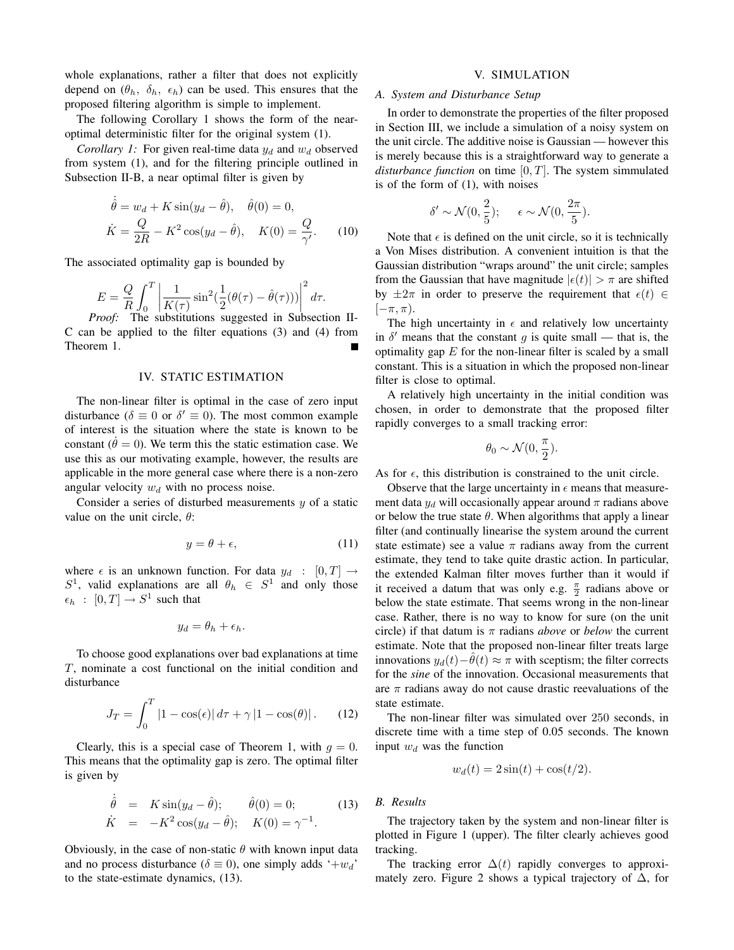whole explanations, rather a filter that does not explicitly depend on  $(\theta_h, \delta_h, \epsilon_h)$  can be used. This ensures that the proposed filtering algorithm is simple to implement.

The following Corollary 1 shows the form of the nearoptimal deterministic filter for the original system (1).

*Corollary 1:* For given real-time data  $y_d$  and  $w_d$  observed from system (1), and for the filtering principle outlined in Subsection II-B, a near optimal filter is given by

$$
\dot{\hat{\theta}} = w_d + K \sin(y_d - \hat{\theta}), \quad \hat{\theta}(0) = 0, \n\dot{K} = \frac{Q}{2R} - K^2 \cos(y_d - \hat{\theta}), \quad K(0) = \frac{Q}{\gamma'}.
$$
\n(10)

The associated optimality gap is bounded by

$$
E = \frac{Q}{R} \int_0^T \left| \frac{1}{K(\tau)} \sin^2(\frac{1}{2}(\theta(\tau) - \hat{\theta}(\tau))) \right|^2 d\tau.
$$
  
*Proof:* The substitutions suggested in Subsection II-

C can be applied to the filter equations (3) and (4) from Theorem 1.

# IV. STATIC ESTIMATION

The non-linear filter is optimal in the case of zero input disturbance ( $\delta \equiv 0$  or  $\delta' \equiv 0$ ). The most common example of interest is the situation where the state is known to be constant ( $\theta = 0$ ). We term this the static estimation case. We use this as our motivating example, however, the results are applicable in the more general case where there is a non-zero angular velocity  $w_d$  with no process noise.

Consider a series of disturbed measurements  $y$  of a static value on the unit circle,  $\theta$ :

$$
y = \theta + \epsilon,\tag{11}
$$

where  $\epsilon$  is an unknown function. For data  $y_d$  :  $[0, T] \rightarrow$  $S^1$ , valid explanations are all  $\theta_h \in S^1$  and only those  $\epsilon_h$ :  $[0, T] \rightarrow S^1$  such that

$$
y_d = \theta_h + \epsilon_h.
$$

To choose good explanations over bad explanations at time T, nominate a cost functional on the initial condition and disturbance

$$
J_T = \int_0^T |1 - \cos(\epsilon)| d\tau + \gamma |1 - \cos(\theta)|. \qquad (12)
$$

Clearly, this is a special case of Theorem 1, with  $q = 0$ . This means that the optimality gap is zero. The optimal filter is given by

$$
\dot{\hat{\theta}} = K \sin(y_d - \hat{\theta}); \quad \hat{\theta}(0) = 0; \n\dot{K} = -K^2 \cos(y_d - \hat{\theta}); \quad K(0) = \gamma^{-1}.
$$
\n(13)

Obviously, in the case of non-static  $\theta$  with known input data and no process disturbance ( $\delta \equiv 0$ ), one simply adds '+w<sub>d</sub>' to the state-estimate dynamics, (13).

#### V. SIMULATION

#### *A. System and Disturbance Setup*

In order to demonstrate the properties of the filter proposed in Section III, we include a simulation of a noisy system on the unit circle. The additive noise is Gaussian — however this is merely because this is a straightforward way to generate a *disturbance function* on time [0, T]. The system simmulated is of the form of (1), with noises

$$
\delta'\sim \mathcal{N}(0,\frac{2}{5});\quad \ \epsilon\sim \mathcal{N}(0,\frac{2\pi}{5}).
$$

Note that  $\epsilon$  is defined on the unit circle, so it is technically a Von Mises distribution. A convenient intuition is that the Gaussian distribution "wraps around" the unit circle; samples from the Gaussian that have magnitude  $|\epsilon(t)| > \pi$  are shifted by  $\pm 2\pi$  in order to preserve the requirement that  $\epsilon(t) \in$  $[-\pi, \pi)$ .

The high uncertainty in  $\epsilon$  and relatively low uncertainty in  $\delta'$  means that the constant g is quite small — that is, the optimality gap  $E$  for the non-linear filter is scaled by a small constant. This is a situation in which the proposed non-linear filter is close to optimal.

A relatively high uncertainty in the initial condition was chosen, in order to demonstrate that the proposed filter rapidly converges to a small tracking error:

$$
\theta_0 \sim \mathcal{N}(0, \frac{\pi}{2}).
$$

As for  $\epsilon$ , this distribution is constrained to the unit circle.

Observe that the large uncertainty in  $\epsilon$  means that measurement data  $y_d$  will occasionally appear around  $\pi$  radians above or below the true state  $\theta$ . When algorithms that apply a linear filter (and continually linearise the system around the current state estimate) see a value  $\pi$  radians away from the current estimate, they tend to take quite drastic action. In particular, the extended Kalman filter moves further than it would if it received a datum that was only e.g.  $\frac{\pi}{2}$  radians above or below the state estimate. That seems wrong in the non-linear case. Rather, there is no way to know for sure (on the unit circle) if that datum is  $\pi$  radians *above* or *below* the current estimate. Note that the proposed non-linear filter treats large innovations  $y_d(t) - \theta(t) \approx \pi$  with sceptism; the filter corrects for the *sine* of the innovation. Occasional measurements that are  $\pi$  radians away do not cause drastic reevaluations of the state estimate.

The non-linear filter was simulated over 250 seconds, in discrete time with a time step of 0.05 seconds. The known input  $w_d$  was the function

$$
w_d(t) = 2\sin(t) + \cos(t/2).
$$

#### *B. Results*

The trajectory taken by the system and non-linear filter is plotted in Figure 1 (upper). The filter clearly achieves good tracking.

The tracking error  $\Delta(t)$  rapidly converges to approximately zero. Figure 2 shows a typical trajectory of  $\Delta$ , for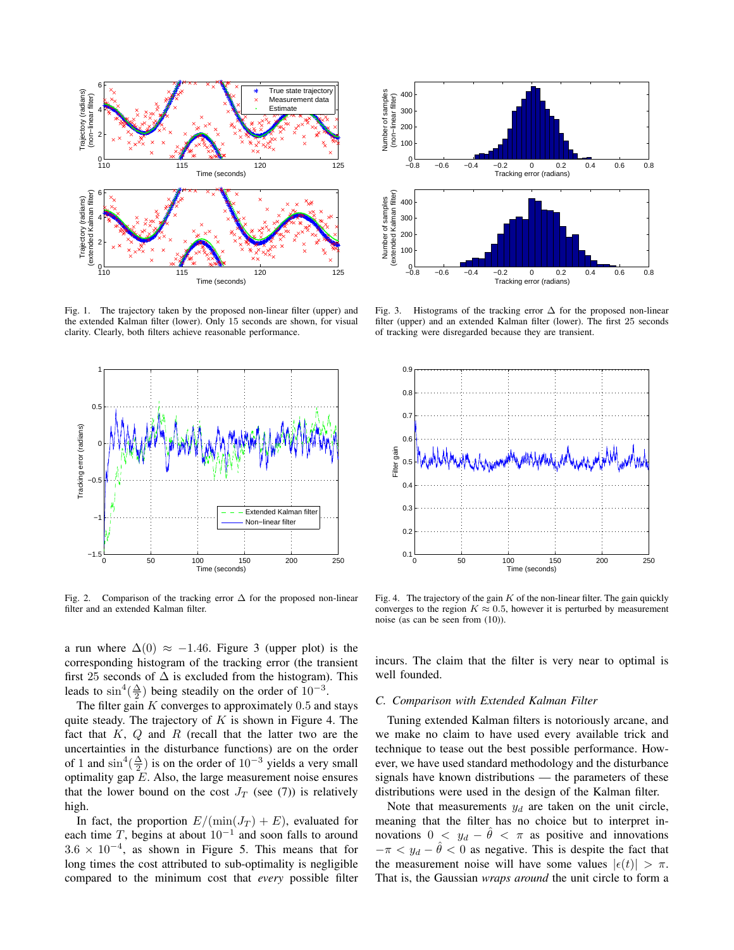

Fig. 1. The trajectory taken by the proposed non-linear filter (upper) and the extended Kalman filter (lower). Only 15 seconds are shown, for visual clarity. Clearly, both filters achieve reasonable performance.



Fig. 2. Comparison of the tracking error  $\Delta$  for the proposed non-linear filter and an extended Kalman filter.

a run where  $\Delta(0) \approx -1.46$ . Figure 3 (upper plot) is the corresponding histogram of the tracking error (the transient first 25 seconds of  $\Delta$  is excluded from the histogram). This leads to  $\sin^4(\frac{\Delta}{2})$  being steadily on the order of  $10^{-3}$ .

The filter gain  $K$  converges to approximately  $0.5$  and stays quite steady. The trajectory of  $K$  is shown in Figure 4. The fact that  $K$ ,  $Q$  and  $R$  (recall that the latter two are the uncertainties in the disturbance functions) are on the order of 1 and  $\sin^4(\frac{\Delta}{2})$  is on the order of  $10^{-3}$  yields a very small optimality gap  $E$ . Also, the large measurement noise ensures that the lower bound on the cost  $J_T$  (see (7)) is relatively high.

In fact, the proportion  $E/(\min(J_T) + E)$ , evaluated for each time T, begins at about  $10^{-1}$  and soon falls to around  $3.6 \times 10^{-4}$ , as shown in Figure 5. This means that for long times the cost attributed to sub-optimality is negligible compared to the minimum cost that *every* possible filter



Fig. 3. Histograms of the tracking error  $\Delta$  for the proposed non-linear filter (upper) and an extended Kalman filter (lower). The first 25 seconds of tracking were disregarded because they are transient.



Fig. 4. The trajectory of the gain  $K$  of the non-linear filter. The gain quickly converges to the region  $K \approx 0.5$ , however it is perturbed by measurement noise (as can be seen from (10)).

incurs. The claim that the filter is very near to optimal is well founded.

## *C. Comparison with Extended Kalman Filter*

Tuning extended Kalman filters is notoriously arcane, and we make no claim to have used every available trick and technique to tease out the best possible performance. However, we have used standard methodology and the disturbance signals have known distributions — the parameters of these distributions were used in the design of the Kalman filter.

Note that measurements  $y_d$  are taken on the unit circle, meaning that the filter has no choice but to interpret innovations  $0 < y_d - \hat{\theta} < \pi$  as positive and innovations  $-\pi < y_d - \hat{\theta} < 0$  as negative. This is despite the fact that the measurement noise will have some values  $|\epsilon(t)| > \pi$ . That is, the Gaussian *wraps around* the unit circle to form a